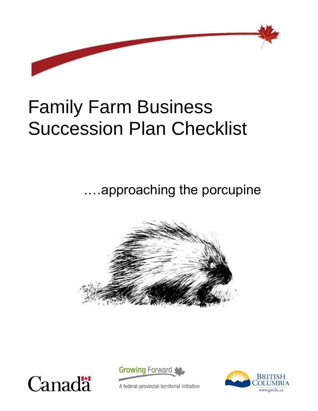

# Family Farm Business Succession Plan Checklist

.…approaching the porcupine







A federal-provincial-territorial initiative

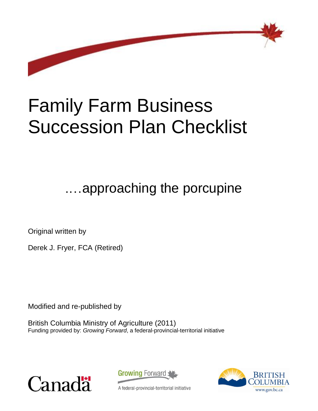

# Family Farm Business Succession Plan Checklist

.…approaching the porcupine

Original written by

Derek J. Fryer, FCA (Retired)

Modified and re-published by

British Columbia Ministry of Agriculture (2011) Funding provided by: *Growing Forward*, a federal-provincial-territorial initiative





A federal-provincial-territorial initiative

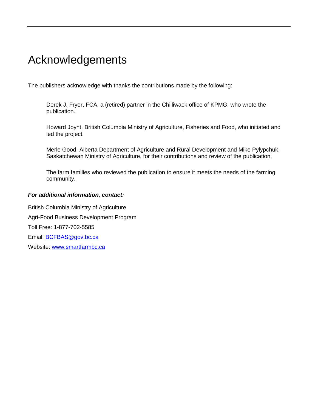# Acknowledgements

The publishers acknowledge with thanks the contributions made by the following:

Derek J. Fryer, FCA, a (retired) partner in the Chilliwack office of KPMG, who wrote the publication.

Howard Joynt, British Columbia Ministry of Agriculture, Fisheries and Food, who initiated and led the project.

Merle Good, Alberta Department of Agriculture and Rural Development and Mike Pylypchuk, Saskatchewan Ministry of Agriculture, for their contributions and review of the publication.

The farm families who reviewed the publication to ensure it meets the needs of the farming community.

#### *For additional information, contact:*

British Columbia Ministry of Agriculture Agri-Food Business Development Program Toll Free: 1-877-702-5585 Email: [BCFBAS@gov.bc.ca](mailto:BCFBAS@gov.bc.ca) Website: [www.smartfarmbc.ca](http://www.smartfarmbc.ca/)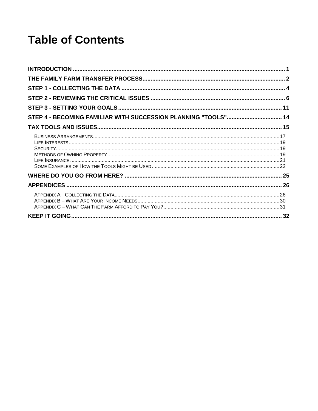# **Table of Contents**

| STEP 4 - BECOMING FAMILIAR WITH SUCCESSION PLANNING "TOOLS" 14 |  |
|----------------------------------------------------------------|--|
|                                                                |  |
|                                                                |  |
|                                                                |  |
|                                                                |  |
|                                                                |  |
|                                                                |  |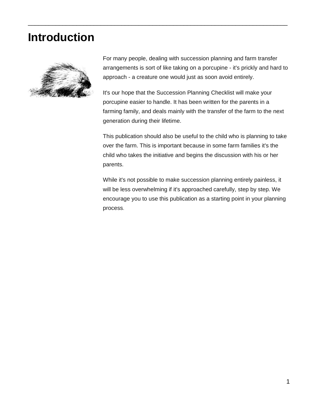# <span id="page-8-0"></span>**Introduction**



For many people, dealing with succession planning and farm transfer arrangements is sort of like taking on a porcupine - it's prickly and hard to approach - a creature one would just as soon avoid entirely.

\_\_\_\_\_\_\_\_\_\_\_\_\_\_\_\_\_\_\_\_\_\_\_\_\_\_\_\_\_\_\_\_\_\_\_\_\_\_\_\_\_\_\_\_\_\_\_\_\_\_\_\_\_\_\_\_\_\_\_\_\_\_\_\_\_\_\_\_\_\_\_\_\_\_\_

It's our hope that the Succession Planning Checklist will make your porcupine easier to handle. It has been written for the parents in a farming family, and deals mainly with the transfer of the farm to the next generation during their lifetime.

This publication should also be useful to the child who is planning to take over the farm. This is important because in some farm families it's the child who takes the initiative and begins the discussion with his or her parents.

While it's not possible to make succession planning entirely painless, it will be less overwhelming if it's approached carefully, step by step. We encourage you to use this publication as a starting point in your planning process.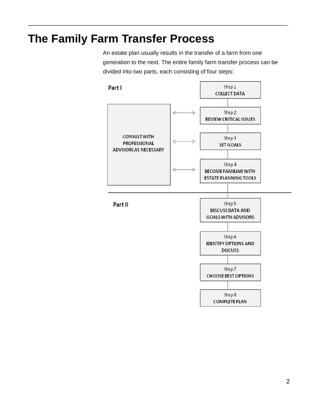# <span id="page-9-0"></span>**The Family Farm Transfer Process**

\_\_\_\_\_\_\_\_\_\_\_\_\_\_\_\_\_\_\_\_\_\_\_\_\_\_\_\_\_\_\_\_\_\_\_\_\_\_\_\_\_\_\_\_\_\_\_\_\_\_\_\_\_\_\_\_\_\_\_\_\_\_\_\_\_\_\_\_\_\_\_\_\_\_\_

An estate plan usually results in the transfer of a farm from one generation to the next. The entire family farm transfer process can be divided into two parts, each consisting of four steps:

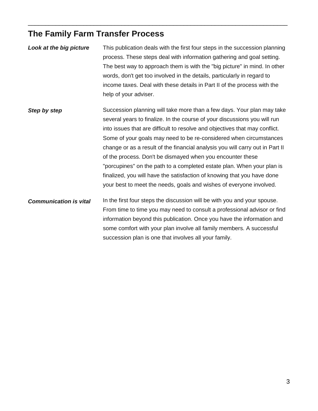### **The Family Farm Transfer Process**

*Look at the big picture* This publication deals with the first four steps in the succession planning process. These steps deal with information gathering and goal setting. The best way to approach them is with the "big picture" in mind. In other words, don't get too involved in the details, particularly in regard to income taxes. Deal with these details in Part II of the process with the help of your adviser.

\_\_\_\_\_\_\_\_\_\_\_\_\_\_\_\_\_\_\_\_\_\_\_\_\_\_\_\_\_\_\_\_\_\_\_\_\_\_\_\_\_\_\_\_\_\_\_\_\_\_\_\_\_\_\_\_\_\_\_\_\_\_\_\_\_\_\_\_\_\_\_\_\_\_\_

*Step by step* Succession planning will take more than a few days. Your plan may take several years to finalize. In the course of your discussions you will run into issues that are difficult to resolve and objectives that may conflict. Some of your goals may need to be re-considered when circumstances change or as a result of the financial analysis you will carry out in Part II of the process. Don't be dismayed when you encounter these "porcupines" on the path to a completed estate plan. When your plan is finalized, you will have the satisfaction of knowing that you have done your best to meet the needs, goals and wishes of everyone involved.

*Communication is vital* In the first four steps the discussion will be with you and your spouse. From time to time you may need to consult a professional advisor or find information beyond this publication. Once you have the information and some comfort with your plan involve all family members. A successful succession plan is one that involves all your family.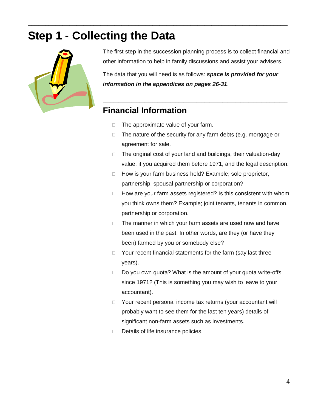# <span id="page-11-0"></span>**Step 1 - Collecting the Data**



The first step in the succession planning process is to collect financial and other information to help in family discussions and assist your advisers.

The data that you will need is as follows: *space is provided for your information in the appendices on pages 26-31*.

\_\_\_\_\_\_\_\_\_\_\_\_\_\_\_\_\_\_\_\_\_\_\_\_\_\_\_\_\_\_\_\_\_\_\_\_\_\_\_\_\_\_\_\_\_\_\_\_\_\_\_\_\_\_\_\_\_\_\_\_\_\_\_\_\_\_\_\_\_\_\_

### **Financial Information**

 $\Box$  The approximate value of your farm.

\_\_\_\_\_\_\_\_\_\_\_\_\_\_\_\_\_\_\_\_\_\_\_\_\_\_\_\_\_\_\_\_\_\_\_\_\_\_\_\_\_\_\_\_\_\_\_\_\_\_\_\_\_\_\_\_\_\_\_\_\_\_\_\_\_\_\_\_\_\_\_\_\_\_\_

- $\Box$  The nature of the security for any farm debts (e.g. mortgage or agreement for sale.
- $\Box$  The original cost of your land and buildings, their valuation-day value, if you acquired them before 1971, and the legal description.
- □ How is your farm business held? Example; sole proprietor, partnership, spousal partnership or corporation?
- $\Box$  How are your farm assets registered? Is this consistent with whom you think owns them? Example; joint tenants, tenants in common, partnership or corporation.
- $\Box$  The manner in which your farm assets are used now and have been used in the past. In other words, are they (or have they been) farmed by you or somebody else?
- $\Box$  Your recent financial statements for the farm (say last three years).
- $\Box$  Do you own quota? What is the amount of your quota write-offs since 1971? (This is something you may wish to leave to your accountant).
- □ Your recent personal income tax returns (your accountant will probably want to see them for the last ten years) details of significant non-farm assets such as investments.
- $\Box$  Details of life insurance policies.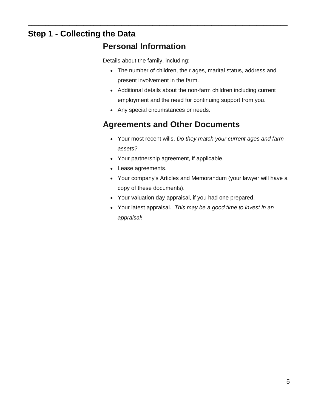### **Step 1 - Collecting the Data**

### **Personal Information**

\_\_\_\_\_\_\_\_\_\_\_\_\_\_\_\_\_\_\_\_\_\_\_\_\_\_\_\_\_\_\_\_\_\_\_\_\_\_\_\_\_\_\_\_\_\_\_\_\_\_\_\_\_\_\_\_\_\_\_\_\_\_\_\_\_\_\_\_\_\_\_\_\_\_\_

Details about the family, including:

- The number of children, their ages, marital status, address and present involvement in the farm.
- Additional details about the non-farm children including current employment and the need for continuing support from you.
- Any special circumstances or needs.

### **Agreements and Other Documents**

- Your most recent wills. *Do they match your current ages and farm assets?*
- Your partnership agreement, if applicable.
- Lease agreements.
- Your company's Articles and Memorandum (your lawyer will have a copy of these documents).
- Your valuation day appraisal, if you had one prepared.
- Your latest appraisal. *This may be a good time to invest in an appraisal!*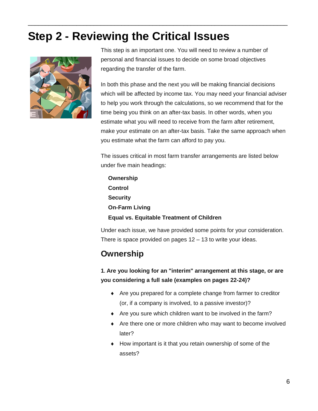# <span id="page-13-0"></span>**Step 2 - Reviewing the Critical Issues**

\_\_\_\_\_\_\_\_\_\_\_\_\_\_\_\_\_\_\_\_\_\_\_\_\_\_\_\_\_\_\_\_\_\_\_\_\_\_\_\_\_\_\_\_\_\_\_\_\_\_\_\_\_\_\_\_\_\_\_\_\_\_\_\_\_\_\_\_\_\_\_\_\_\_\_



This step is an important one. You will need to review a number of personal and financial issues to decide on some broad objectives regarding the transfer of the farm.

In both this phase and the next you will be making financial decisions which will be affected by income tax. You may need your financial adviser to help you work through the calculations, so we recommend that for the time being you think on an after-tax basis. In other words, when you estimate what you will need to receive from the farm after retirement, make your estimate on an after-tax basis. Take the same approach when you estimate what the farm can afford to pay you.

The issues critical in most farm transfer arrangements are listed below under five main headings:

**Ownership Control Security On-Farm Living Equal vs. Equitable Treatment of Children**

Under each issue, we have provided some points for your consideration. There is space provided on pages 12 – 13 to write your ideas.

### **Ownership**

#### **1. Are you looking for an "interim" arrangement at this stage, or are you considering a full sale (examples on pages 22-24)?**

- Are you prepared for a complete change from farmer to creditor (or, if a company is involved, to a passive investor)?
- Are you sure which children want to be involved in the farm?
- Are there one or more children who may want to become involved later?
- $\bullet$  How important is it that you retain ownership of some of the assets?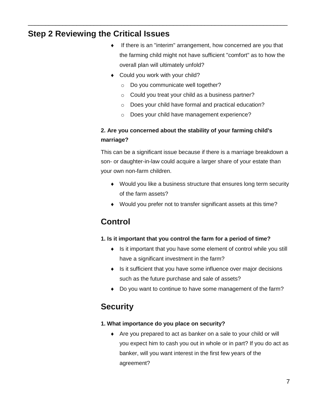### **Step 2 Reviewing the Critical Issues**

- If there is an "interim" arrangement, how concerned are you that the farming child might not have sufficient "comfort" as to how the overall plan will ultimately unfold?
- ◆ Could you work with your child?

\_\_\_\_\_\_\_\_\_\_\_\_\_\_\_\_\_\_\_\_\_\_\_\_\_\_\_\_\_\_\_\_\_\_\_\_\_\_\_\_\_\_\_\_\_\_\_\_\_\_\_\_\_\_\_\_\_\_\_\_\_\_\_\_\_\_\_\_\_\_\_\_\_\_\_

- o Do you communicate well together?
- o Could you treat your child as a business partner?
- o Does your child have formal and practical education?
- o Does your child have management experience?

#### **2. Are you concerned about the stability of your farming child's marriage?**

This can be a significant issue because if there is a marriage breakdown a son- or daughter-in-law could acquire a larger share of your estate than your own non-farm children.

- Would you like a business structure that ensures long term security of the farm assets?
- Would you prefer not to transfer significant assets at this time?

### **Control**

#### **1. Is it important that you control the farm for a period of time?**

- ◆ Is it important that you have some element of control while you still have a significant investment in the farm?
- $\bullet$  Is it sufficient that you have some influence over major decisions such as the future purchase and sale of assets?
- Do you want to continue to have some management of the farm?

### **Security**

#### **1. What importance do you place on security?**

 Are you prepared to act as banker on a sale to your child or will you expect him to cash you out in whole or in part? If you do act as banker, will you want interest in the first few years of the agreement?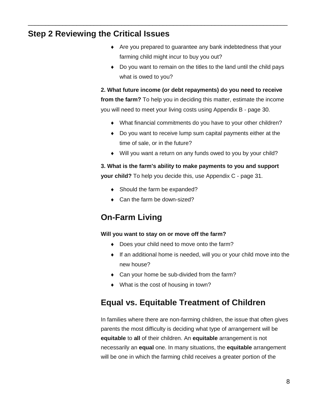#### **Step 2 Reviewing the Critical Issues**

- Are you prepared to guarantee any bank indebtedness that your farming child might incur to buy you out?
- Do you want to remain on the titles to the land until the child pays what is owed to you?

**2. What future income (or debt repayments) do you need to receive from the farm?** To help you in deciding this matter, estimate the income you will need to meet your living costs using Appendix B - page 30.

- What financial commitments do you have to your other children?
- Do you want to receive lump sum capital payments either at the time of sale, or in the future?
- Will you want a return on any funds owed to you by your child?

**3. What is the farm's ability to make payments to you and support your child?** To help you decide this, use Appendix C - page 31.

◆ Should the farm be expanded?

\_\_\_\_\_\_\_\_\_\_\_\_\_\_\_\_\_\_\_\_\_\_\_\_\_\_\_\_\_\_\_\_\_\_\_\_\_\_\_\_\_\_\_\_\_\_\_\_\_\_\_\_\_\_\_\_\_\_\_\_\_\_\_\_\_\_\_\_\_\_\_\_\_\_\_

◆ Can the farm be down-sized?

### **On-Farm Living**

#### **Will you want to stay on or move off the farm?**

- Does your child need to move onto the farm?
- If an additional home is needed, will you or your child move into the new house?
- ◆ Can your home be sub-divided from the farm?
- ◆ What is the cost of housing in town?

#### **Equal vs. Equitable Treatment of Children**

In families where there are non-farming children, the issue that often gives parents the most difficulty is deciding what type of arrangement will be **equitable** to **all** of their children. An **equitable** arrangement is not necessarily an **equal** one. In many situations, the **equitable** arrangement will be one in which the farming child receives a greater portion of the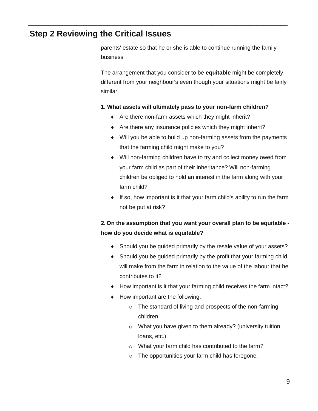#### .**Step 2 Reviewing the Critical Issues**

parents' estate so that he or she is able to continue running the family business

\_\_\_\_\_\_\_\_\_\_\_\_\_\_\_\_\_\_\_\_\_\_\_\_\_\_\_\_\_\_\_\_\_\_\_\_\_\_\_\_\_\_\_\_\_\_\_\_\_\_\_\_\_\_\_\_\_\_\_\_\_\_\_\_\_\_\_\_\_\_\_\_\_\_\_

The arrangement that you consider to be **equitable** might be completely different from your neighbour's even though your situations might be fairly similar.

#### **1. What assets will ultimately pass to your non-farm children?**

- ◆ Are there non-farm assets which they might inherit?
- $\triangle$  Are there any insurance policies which they might inherit?
- Will you be able to build up non-farming assets from the payments that the farming child might make to you?
- Will non-farming children have to try and collect money owed from your farm child as part of their inheritance? Will non-farming children be obliged to hold an interest in the farm along with your farm child?
- $\bullet$  If so, how important is it that your farm child's ability to run the farm not be put at risk?

#### **2. On the assumption that you want your overall plan to be equitable how do you decide what is equitable?**

- Should you be guided primarily by the resale value of your assets?
- Should you be guided primarily by the profit that your farming child will make from the farm in relation to the value of the labour that he contributes to it?
- How important is it that your farming child receives the farm intact?
- How important are the following:
	- o The standard of living and prospects of the non-farming children.
	- o What you have given to them already? (university tuition, loans, etc.)
	- o What your farm child has contributed to the farm?
	- o The opportunities your farm child has foregone.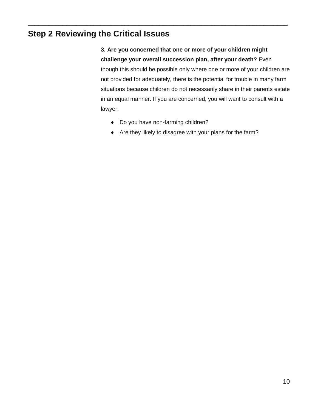### **Step 2 Reviewing the Critical Issues**

**3. Are you concerned that one or more of your children might challenge your overall succession plan, after your death?** Even though this should be possible only where one or more of your children are not provided for adequately, there is the potential for trouble in many farm situations because children do not necessarily share in their parents estate in an equal manner. If you are concerned, you will want to consult with a lawyer.

◆ Do you have non-farming children?

\_\_\_\_\_\_\_\_\_\_\_\_\_\_\_\_\_\_\_\_\_\_\_\_\_\_\_\_\_\_\_\_\_\_\_\_\_\_\_\_\_\_\_\_\_\_\_\_\_\_\_\_\_\_\_\_\_\_\_\_\_\_\_\_\_\_\_\_\_\_\_\_\_\_\_

Are they likely to disagree with your plans for the farm?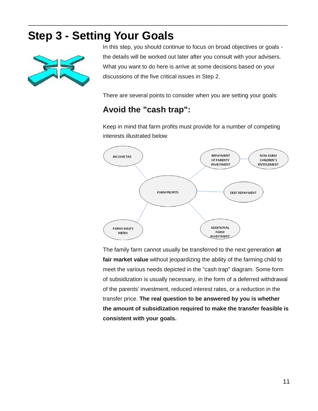# <span id="page-18-0"></span>**Step 3 - Setting Your Goals**



In this step, you should continue to focus on broad objectives or goals the details will be worked out later after you consult with your advisers. What you want to do here is arrive at some decisions based on your discussions of the five critical issues in Step 2.

There are several points to consider when you are setting your goals:

### **Avoid the "cash trap":**

\_\_\_\_\_\_\_\_\_\_\_\_\_\_\_\_\_\_\_\_\_\_\_\_\_\_\_\_\_\_\_\_\_\_\_\_\_\_\_\_\_\_\_\_\_\_\_\_\_\_\_\_\_\_\_\_\_\_\_\_\_\_\_\_\_\_\_\_\_\_\_\_\_\_\_

Keep in mind that farm profits must provide for a number of competing interests illustrated below:



The family farm cannot usually be transferred to the next generation **at fair market value** without jeopardizing the ability of the farming child to meet the various needs depicted in the "cash trap" diagram. Some form of subsidization is usually necessary, in the form of a deferred withdrawal of the parents' investment, reduced interest rates, or a reduction in the transfer price. **The real question to be answered by you is whether the amount of subsidization required to make the transfer feasible is consistent with your goals.**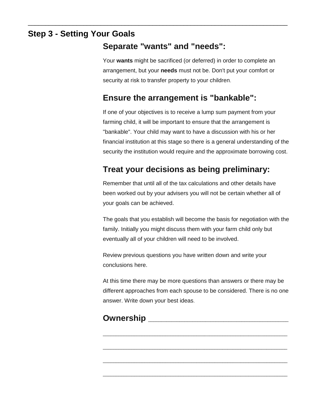### **Step 3 - Setting Your Goals**

### **Separate "wants" and "needs":**

\_\_\_\_\_\_\_\_\_\_\_\_\_\_\_\_\_\_\_\_\_\_\_\_\_\_\_\_\_\_\_\_\_\_\_\_\_\_\_\_\_\_\_\_\_\_\_\_\_\_\_\_\_\_\_\_\_\_\_\_\_\_\_\_\_\_\_\_\_\_\_\_\_\_\_

Your **wants** might be sacrificed (or deferred) in order to complete an arrangement, but your **needs** must not be. Don't put your comfort or security at risk to transfer property to your children.

### **Ensure the arrangement is "bankable":**

If one of your objectives is to receive a lump sum payment from your farming child, it will be important to ensure that the arrangement is "bankable". Your child may want to have a discussion with his or her financial institution at this stage so there is a general understanding of the security the institution would require and the approximate borrowing cost.

### **Treat your decisions as being preliminary:**

Remember that until all of the tax calculations and other details have been worked out by your advisers you will not be certain whether all of your goals can be achieved.

The goals that you establish will become the basis for negotiation with the family. Initially you might discuss them with your farm child only but eventually all of your children will need to be involved.

Review previous questions you have written down and write your conclusions here.

At this time there may be more questions than answers or there may be different approaches from each spouse to be considered. There is no one answer. Write down your best ideas.

\_\_\_\_\_\_\_\_\_\_\_\_\_\_\_\_\_\_\_\_\_\_\_\_\_\_\_\_\_\_\_\_\_\_\_\_\_\_\_\_\_\_\_\_\_\_\_\_\_\_\_\_\_\_\_\_\_\_\_\_\_\_\_\_\_\_\_\_\_\_\_

\_\_\_\_\_\_\_\_\_\_\_\_\_\_\_\_\_\_\_\_\_\_\_\_\_\_\_\_\_\_\_\_\_\_\_\_\_\_\_\_\_\_\_\_\_\_\_\_\_\_\_\_\_\_\_\_\_\_\_\_\_\_\_\_\_\_\_\_\_\_\_

\_\_\_\_\_\_\_\_\_\_\_\_\_\_\_\_\_\_\_\_\_\_\_\_\_\_\_\_\_\_\_\_\_\_\_\_\_\_\_\_\_\_\_\_\_\_\_\_\_\_\_\_\_\_\_\_\_\_\_\_\_\_\_\_\_\_\_\_\_\_\_

\_\_\_\_\_\_\_\_\_\_\_\_\_\_\_\_\_\_\_\_\_\_\_\_\_\_\_\_\_\_\_\_\_\_\_\_\_\_\_\_\_\_\_\_\_\_\_\_\_\_\_\_\_\_\_\_\_\_\_\_\_\_\_\_\_\_\_\_\_\_\_

### **Ownership Development Ownership**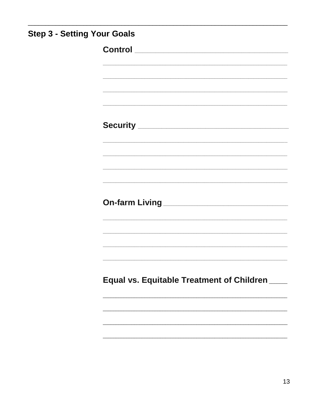| <b>Step 3 - Setting Your Goals</b> |                                                            |
|------------------------------------|------------------------------------------------------------|
|                                    |                                                            |
|                                    |                                                            |
|                                    | <u> 1989 - Johann Stoff, amerikansk politiker (* 1908)</u> |
|                                    |                                                            |
|                                    |                                                            |
|                                    |                                                            |
|                                    | <u> 1989 - Johann Stoff, amerikansk politiker (* 1908)</u> |
|                                    |                                                            |
|                                    |                                                            |
|                                    |                                                            |
|                                    | Equal vs. Equitable Treatment of Children ____             |
|                                    |                                                            |
|                                    |                                                            |
|                                    |                                                            |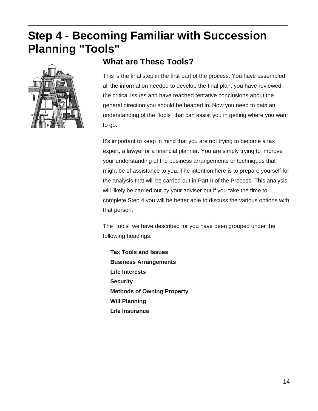<span id="page-21-0"></span>\_\_\_\_\_\_\_\_\_\_\_\_\_\_\_\_\_\_\_\_\_\_\_\_\_\_\_\_\_\_\_\_\_\_\_\_\_\_\_\_\_\_\_\_\_\_\_\_\_\_\_\_\_\_\_\_\_\_\_\_\_\_\_\_\_\_\_\_\_\_\_\_\_\_\_



#### **What are These Tools?**

This is the final step in the first part of the process. You have assembled all the information needed to develop the final plan; you have reviewed the critical issues and have reached tentative conclusions about the general direction you should be headed in. Now you need to gain an understanding of the "tools" that can assist you in getting where you want to go.

It's important to keep in mind that you are not trying to become a tax expert, a lawyer or a financial planner. You are simply trying to improve your understanding of the business arrangements or techniques that might be of assistance to you. The intention here is to prepare yourself for the analysis that will be carried out in Part II of the Process. This analysis will likely be carried out by your adviser but if you take the time to complete Step 4 you will be better able to discuss the various options with that person.

The "tools" we have described for you have been grouped under the following headings:

**Tax Tools and Issues Business Arrangements Life Interests Security Methods of Owning Property Will Planning Life Insurance**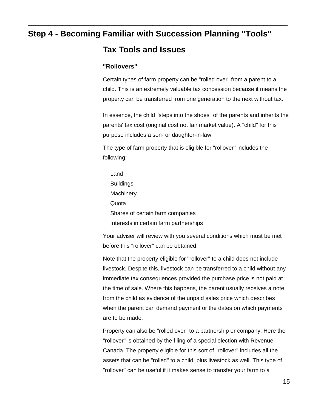\_\_\_\_\_\_\_\_\_\_\_\_\_\_\_\_\_\_\_\_\_\_\_\_\_\_\_\_\_\_\_\_\_\_\_\_\_\_\_\_\_\_\_\_\_\_\_\_\_\_\_\_\_\_\_\_\_\_\_\_\_\_\_\_\_\_\_\_\_\_\_\_\_\_\_

#### <span id="page-22-0"></span>**Tax Tools and Issues**

#### **"Rollovers"**

Certain types of farm property can be "rolled over" from a parent to a child. This is an extremely valuable tax concession because it means the property can be transferred from one generation to the next without tax.

In essence, the child "steps into the shoes" of the parents and inherits the parents' tax cost (original cost not fair market value). A "child" for this purpose includes a son- or daughter-in-law.

The type of farm property that is eligible for "rollover" includes the following:

| Land                                   |
|----------------------------------------|
| <b>Buildings</b>                       |
| Machinery                              |
| Quota                                  |
| Shares of certain farm companies       |
| Interests in certain farm partnerships |

Your adviser will review with you several conditions which must be met before this "rollover" can be obtained.

Note that the property eligible for "rollover" to a child does not include livestock. Despite this, livestock can be transferred to a child without any immediate tax consequences provided the purchase price is not paid at the time of sale. Where this happens, the parent usually receives a note from the child as evidence of the unpaid sales price which describes when the parent can demand payment or the dates on which payments are to be made.

Property can also be "rolled over" to a partnership or company. Here the "rollover" is obtained by the filing of a special election with Revenue Canada. The property eligible for this sort of "rollover" includes all the assets that can be "rolled" to a child, plus livestock as well. This type of "rollover" can be useful if it makes sense to transfer your farm to a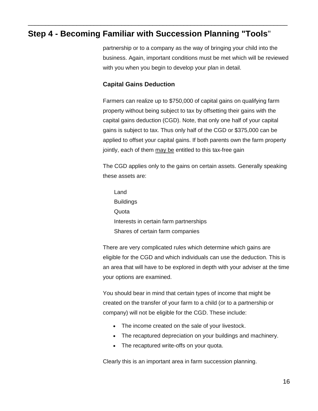\_\_\_\_\_\_\_\_\_\_\_\_\_\_\_\_\_\_\_\_\_\_\_\_\_\_\_\_\_\_\_\_\_\_\_\_\_\_\_\_\_\_\_\_\_\_\_\_\_\_\_\_\_\_\_\_\_\_\_\_\_\_\_\_\_\_\_\_\_\_\_\_\_\_\_

partnership or to a company as the way of bringing your child into the business. Again, important conditions must be met which will be reviewed with you when you begin to develop your plan in detail.

#### **Capital Gains Deduction**

Farmers can realize up to \$750,000 of capital gains on qualifying farm property without being subject to tax by offsetting their gains with the capital gains deduction (CGD). Note, that only one half of your capital gains is subject to tax. Thus only half of the CGD or \$375,000 can be applied to offset your capital gains. If both parents own the farm property jointly, each of them may be entitled to this tax-free gain

The CGD applies only to the gains on certain assets. Generally speaking these assets are:

Land **Buildings Quota** Interests in certain farm partnerships Shares of certain farm companies

There are very complicated rules which determine which gains are eligible for the CGD and which individuals can use the deduction. This is an area that will have to be explored in depth with your adviser at the time your options are examined.

You should bear in mind that certain types of income that might be created on the transfer of your farm to a child (or to a partnership or company) will not be eligible for the CGD. These include:

- The income created on the sale of your livestock.
- The recaptured depreciation on your buildings and machinery.
- The recaptured write-offs on your quota.

Clearly this is an important area in farm succession planning.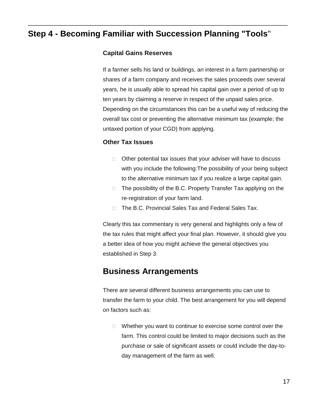\_\_\_\_\_\_\_\_\_\_\_\_\_\_\_\_\_\_\_\_\_\_\_\_\_\_\_\_\_\_\_\_\_\_\_\_\_\_\_\_\_\_\_\_\_\_\_\_\_\_\_\_\_\_\_\_\_\_\_\_\_\_\_\_\_\_\_\_\_\_\_\_\_\_\_

#### **Capital Gains Reserves**

If a farmer sells his land or buildings, an interest in a farm partnership or shares of a farm company and receives the sales proceeds over several years, he is usually able to spread his capital gain over a period of up to ten years by claiming a reserve in respect of the unpaid sales price. Depending on the circumstances this can be a useful way of reducing the overall tax cost or preventing the alternative minimum tax (example; the untaxed portion of your CGD) from applying.

#### **Other Tax Issues**

- $\Box$  Other potential tax issues that your adviser will have to discuss with you include the following:The possibility of your being subject to the alternative minimum tax if you realize a large capital gain.
- □ The possibility of the B.C. Property Transfer Tax applying on the re-registration of your farm land.
- □ The B.C. Provincial Sales Tax and Federal Sales Tax.

Clearly this tax commentary is very general and highlights only a few of the tax rules that might affect your final plan. However, it should give you a better idea of how you might achieve the general objectives you established in Step 3.

#### <span id="page-24-0"></span>**Business Arrangements**

There are several different business arrangements you can use to transfer the farm to your child. The best arrangement for you will depend on factors such as:

 $\Box$  Whether you want to continue to exercise some control over the farm. This control could be limited to major decisions such as the purchase or sale of significant assets or could include the day-today management of the farm as well.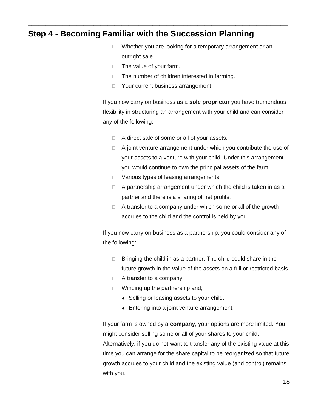- $\Box$  Whether you are looking for a temporary arrangement or an outright sale.
- $\Box$  The value of your farm.
- $\Box$  The number of children interested in farming.
- □ Your current business arrangement.

\_\_\_\_\_\_\_\_\_\_\_\_\_\_\_\_\_\_\_\_\_\_\_\_\_\_\_\_\_\_\_\_\_\_\_\_\_\_\_\_\_\_\_\_\_\_\_\_\_\_\_\_\_\_\_\_\_\_\_\_\_\_\_\_\_\_\_\_\_\_\_\_\_\_\_

If you now carry on business as a **sole proprietor** you have tremendous flexibility in structuring an arrangement with your child and can consider any of the following:

- □ A direct sale of some or all of your assets.
- $\Box$  A joint venture arrangement under which you contribute the use of your assets to a venture with your child. Under this arrangement you would continue to own the principal assets of the farm.
- D Various types of leasing arrangements.
- $\Box$  A partnership arrangement under which the child is taken in as a partner and there is a sharing of net profits.
- $\Box$  A transfer to a company under which some or all of the growth accrues to the child and the control is held by you.

If you now carry on business as a partnership, you could consider any of the following:

- $\Box$  Bringing the child in as a partner. The child could share in the future growth in the value of the assets on a full or restricted basis.
- □ A transfer to a company.
- $\Box$  Winding up the partnership and;
	- ◆ Selling or leasing assets to your child.
	- Entering into a joint venture arrangement.

If your farm is owned by a **company**, your options are more limited. You might consider selling some or all of your shares to your child.

Alternatively, if you do not want to transfer any of the existing value at this time you can arrange for the share capital to be reorganized so that future growth accrues to your child and the existing value (and control) remains with you.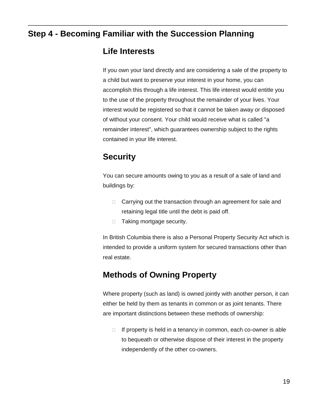\_\_\_\_\_\_\_\_\_\_\_\_\_\_\_\_\_\_\_\_\_\_\_\_\_\_\_\_\_\_\_\_\_\_\_\_\_\_\_\_\_\_\_\_\_\_\_\_\_\_\_\_\_\_\_\_\_\_\_\_\_\_\_\_\_\_\_\_\_\_\_\_\_\_\_

#### <span id="page-26-0"></span>**Life Interests**

If you own your land directly and are considering a sale of the property to a child but want to preserve your interest in your home, you can accomplish this through a life interest. This life interest would entitle you to the use of the property throughout the remainder of your lives. Your interest would be registered so that it cannot be taken away or disposed of without your consent. Your child would receive what is called "a remainder interest", which guarantees ownership subject to the rights contained in your life interest.

### <span id="page-26-1"></span>**Security**

You can secure amounts owing to you as a result of a sale of land and buildings by:

- □ Carrying out the transaction through an agreement for sale and retaining legal title until the debt is paid off.
- □ Taking mortgage security.

In British Columbia there is also a Personal Property Security Act which is intended to provide a uniform system for secured transactions other than real estate.

### <span id="page-26-2"></span>**Methods of Owning Property**

Where property (such as land) is owned jointly with another person, it can either be held by them as tenants in common or as joint tenants. There are important distinctions between these methods of ownership:

 $\Box$  If property is held in a tenancy in common, each co-owner is able to bequeath or otherwise dispose of their interest in the property independently of the other co-owners.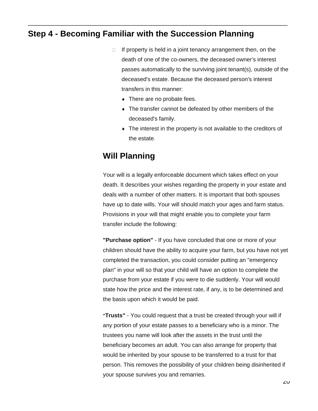- $\Box$  If property is held in a joint tenancy arrangement then, on the death of one of the co-owners, the deceased owner's interest passes automatically to the surviving joint tenant(s), outside of the deceased's estate. Because the deceased person's interest transfers in this manner:
	- There are no probate fees.

\_\_\_\_\_\_\_\_\_\_\_\_\_\_\_\_\_\_\_\_\_\_\_\_\_\_\_\_\_\_\_\_\_\_\_\_\_\_\_\_\_\_\_\_\_\_\_\_\_\_\_\_\_\_\_\_\_\_\_\_\_\_\_\_\_\_\_\_\_\_\_\_\_\_\_

- The transfer cannot be defeated by other members of the deceased's family.
- The interest in the property is not available to the creditors of the estate.

### **Will Planning**

Your will is a legally enforceable document which takes effect on your death. It describes your wishes regarding the property in your estate and deals with a number of other matters. It is important that both spouses have up to date wills. Your will should match your ages and farm status. Provisions in your will that might enable you to complete your farm transfer include the following:

**"Purchase option"** - If you have concluded that one or more of your children should have the ability to acquire your farm, but you have not yet completed the transaction, you could consider putting an "emergency plan" in your will so that your child will have an option to complete the purchase from your estate if you were to die suddenly. Your will would state how the price and the interest rate, if any, is to be determined and the basis upon which it would be paid.

**"Trusts"** - You could request that a trust be created through your will if any portion of your estate passes to a beneficiary who is a minor. The trustees you name will look after the assets in the trust until the beneficiary becomes an adult. You can also arrange for property that would be inherited by your spouse to be transferred to a trust for that person. This removes the possibility of your children being disinherited if your spouse survives you and remarries.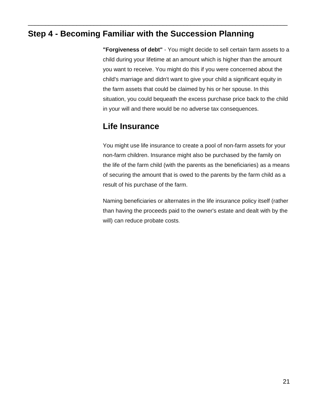\_\_\_\_\_\_\_\_\_\_\_\_\_\_\_\_\_\_\_\_\_\_\_\_\_\_\_\_\_\_\_\_\_\_\_\_\_\_\_\_\_\_\_\_\_\_\_\_\_\_\_\_\_\_\_\_\_\_\_\_\_\_\_\_\_\_\_\_\_\_\_\_\_\_\_

**"Forgiveness of debt"** - You might decide to sell certain farm assets to a child during your lifetime at an amount which is higher than the amount you want to receive. You might do this if you were concerned about the child's marriage and didn't want to give your child a significant equity in the farm assets that could be claimed by his or her spouse. In this situation, you could bequeath the excess purchase price back to the child in your will and there would be no adverse tax consequences.

### <span id="page-28-0"></span>**Life Insurance**

You might use life insurance to create a pool of non-farm assets for your non-farm children. Insurance might also be purchased by the family on the life of the farm child (with the parents as the beneficiaries) as a means of securing the amount that is owed to the parents by the farm child as a result of his purchase of the farm.

Naming beneficiaries or alternates in the life insurance policy itself (rather than having the proceeds paid to the owner's estate and dealt with by the will) can reduce probate costs.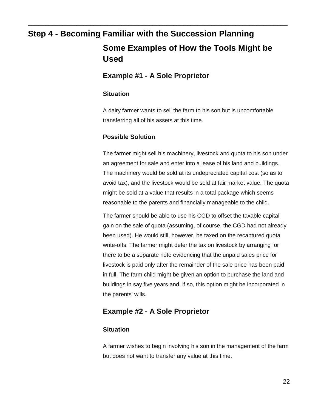# **Step 4 - Becoming Familiar with the Succession Planning Some Examples of How the Tools Might be Used**

#### <span id="page-29-0"></span>**Example #1 - A Sole Proprietor**

\_\_\_\_\_\_\_\_\_\_\_\_\_\_\_\_\_\_\_\_\_\_\_\_\_\_\_\_\_\_\_\_\_\_\_\_\_\_\_\_\_\_\_\_\_\_\_\_\_\_\_\_\_\_\_\_\_\_\_\_\_\_\_\_\_\_\_\_\_\_\_\_\_\_\_

#### **Situation**

A dairy farmer wants to sell the farm to his son but is uncomfortable transferring all of his assets at this time.

#### **Possible Solution**

The farmer might sell his machinery, livestock and quota to his son under an agreement for sale and enter into a lease of his land and buildings. The machinery would be sold at its undepreciated capital cost (so as to avoid tax), and the livestock would be sold at fair market value. The quota might be sold at a value that results in a total package which seems reasonable to the parents and financially manageable to the child.

The farmer should be able to use his CGD to offset the taxable capital gain on the sale of quota (assuming, of course, the CGD had not already been used). He would still, however, be taxed on the recaptured quota write-offs. The farmer might defer the tax on livestock by arranging for there to be a separate note evidencing that the unpaid sales price for livestock is paid only after the remainder of the sale price has been paid in full. The farm child might be given an option to purchase the land and buildings in say five years and, if so, this option might be incorporated in the parents' wills.

#### **Example #2 - A Sole Proprietor**

#### **Situation**

A farmer wishes to begin involving his son in the management of the farm but does not want to transfer any value at this time.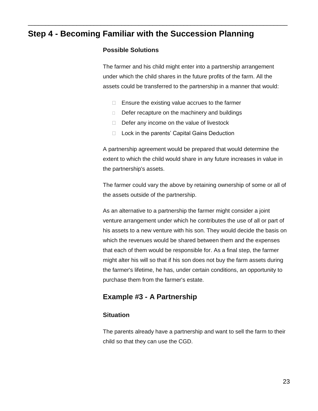\_\_\_\_\_\_\_\_\_\_\_\_\_\_\_\_\_\_\_\_\_\_\_\_\_\_\_\_\_\_\_\_\_\_\_\_\_\_\_\_\_\_\_\_\_\_\_\_\_\_\_\_\_\_\_\_\_\_\_\_\_\_\_\_\_\_\_\_\_\_\_\_\_\_\_

#### **Possible Solutions**

The farmer and his child might enter into a partnership arrangement under which the child shares in the future profits of the farm. All the assets could be transferred to the partnership in a manner that would:

- $\Box$  Ensure the existing value accrues to the farmer
- $\Box$  Defer recapture on the machinery and buildings
- $\Box$  Defer any income on the value of livestock
- $\Box$  Lock in the parents' Capital Gains Deduction

A partnership agreement would be prepared that would determine the extent to which the child would share in any future increases in value in the partnership's assets.

The farmer could vary the above by retaining ownership of some or all of the assets outside of the partnership.

As an alternative to a partnership the farmer might consider a joint venture arrangement under which he contributes the use of all or part of his assets to a new venture with his son. They would decide the basis on which the revenues would be shared between them and the expenses that each of them would be responsible for. As a final step, the farmer might alter his will so that if his son does not buy the farm assets during the farmer's lifetime, he has, under certain conditions, an opportunity to purchase them from the farmer's estate.

#### **Example #3 - A Partnership**

#### **Situation**

The parents already have a partnership and want to sell the farm to their child so that they can use the CGD.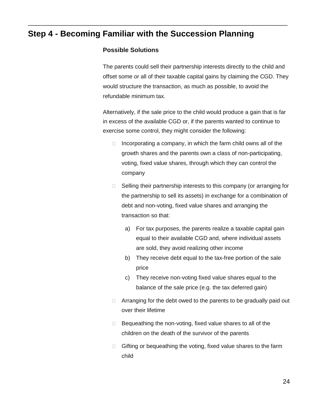\_\_\_\_\_\_\_\_\_\_\_\_\_\_\_\_\_\_\_\_\_\_\_\_\_\_\_\_\_\_\_\_\_\_\_\_\_\_\_\_\_\_\_\_\_\_\_\_\_\_\_\_\_\_\_\_\_\_\_\_\_\_\_\_\_\_\_\_\_\_\_\_\_\_\_

#### **Possible Solutions**

The parents could sell their partnership interests directly to the child and offset some or all of their taxable capital gains by claiming the CGD. They would structure the transaction, as much as possible, to avoid the refundable minimum tax.

Alternatively, if the sale price to the child would produce a gain that is far in excess of the available CGD or, if the parents wanted to continue to exercise some control, they might consider the following:

- $\Box$  Incorporating a company, in which the farm child owns all of the growth shares and the parents own a class of non-participating, voting, fixed value shares, through which they can control the company
- $\Box$  Selling their partnership interests to this company (or arranging for the partnership to sell its assets) in exchange for a combination of debt and non-voting, fixed value shares and arranging the transaction so that:
	- a) For tax purposes, the parents realize a taxable capital gain equal to their available CGD and, where individual assets are sold, they avoid realizing other income
	- b) They receive debt equal to the tax-free portion of the sale price
	- c) They receive non-voting fixed value shares equal to the balance of the sale price (e.g. the tax deferred gain)
- $\Box$  Arranging for the debt owed to the parents to be gradually paid out over their lifetime
- $\Box$  Bequeathing the non-voting, fixed value shares to all of the children on the death of the survivor of the parents
- $\Box$  Gifting or bequeathing the voting, fixed value shares to the farm child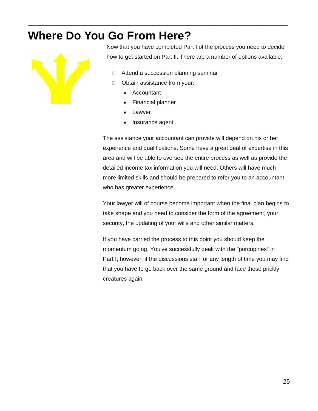# <span id="page-32-0"></span>**Where Do You Go From Here?**



Now that you have completed Part I of the process you need to decide how to get started on Part II. There are a number of options available:

- □ Attend a succession planning seminar
- **D** Obtain assistance from your:

\_\_\_\_\_\_\_\_\_\_\_\_\_\_\_\_\_\_\_\_\_\_\_\_\_\_\_\_\_\_\_\_\_\_\_\_\_\_\_\_\_\_\_\_\_\_\_\_\_\_\_\_\_\_\_\_\_\_\_\_\_\_\_\_\_\_\_\_\_\_\_\_\_\_\_

- ◆ Accountant
- Financial planner
- Lawyer
- Insurance agent

The assistance your accountant can provide will depend on his or her experience and qualifications. Some have a great deal of expertise in this area and will be able to oversee the entire process as well as provide the detailed income tax information you will need. Others will have much more limited skills and should be prepared to refer you to an accountant who has greater experience.

Your lawyer will of course become important when the final plan begins to take shape and you need to consider the form of the agreement, your security, the updating of your wills and other similar matters.

If you have carried the process to this point you should keep the momentum going. You've successfully dealt with the "porcupines" in Part I; however, if the discussions stall for any length of time you may find that you have to go back over the same ground and face those prickly creatures again.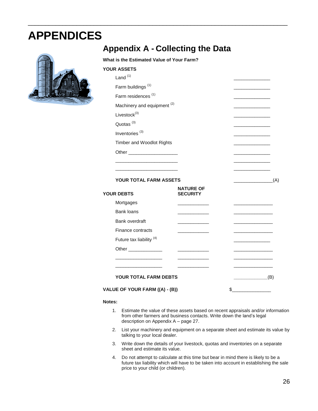# <span id="page-33-0"></span>**APPENDICES**



### <span id="page-33-1"></span>**Appendix A - Collecting the Data**

#### **What is the Estimated Value of Your Farm?**

\_\_\_\_\_\_\_\_\_\_\_\_\_\_\_\_\_\_\_\_\_\_\_\_\_\_\_\_\_\_\_\_\_\_\_\_\_\_\_\_\_\_\_\_\_\_\_\_\_\_\_\_\_\_\_\_\_\_\_\_\_\_\_\_\_\_\_\_\_\_\_\_\_\_\_

| <b>YOUR ASSETS</b>                     |                                     |     |
|----------------------------------------|-------------------------------------|-----|
| Land $(1)$                             |                                     |     |
| Farm buildings <sup>(1)</sup>          |                                     |     |
| Farm residences <sup>(1)</sup>         |                                     |     |
| Machinery and equipment <sup>(2)</sup> |                                     |     |
| Livestock <sup>(3)</sup>               |                                     |     |
| Quotas <sup>(3)</sup>                  |                                     |     |
| Inventories <sup>(3)</sup>             |                                     |     |
| <b>Timber and Woodlot Rights</b>       |                                     |     |
| Other ________________________         |                                     |     |
|                                        |                                     |     |
|                                        |                                     |     |
| <b>YOUR TOTAL FARM ASSETS</b>          |                                     | (A) |
| <b>YOUR DEBTS</b>                      | <b>NATURE OF</b><br><b>SECURITY</b> |     |

| טו שבע טעט                          | uluuni i                          |     |
|-------------------------------------|-----------------------------------|-----|
| Mortgages                           | the company of the company of the |     |
| Bank loans                          |                                   |     |
| Bank overdraft                      |                                   |     |
| Finance contracts                   |                                   |     |
| Future tax liability <sup>(4)</sup> |                                   |     |
| Other ______________                |                                   |     |
|                                     |                                   |     |
|                                     |                                   |     |
| YOUR TOTAL FARM DEBTS               |                                   | (B) |
| VALUE OF YOUR FARM ((A) - (B))      |                                   |     |

#### **Notes:**

- 1. Estimate the value of these assets based on recent appraisals and/or information from other farmers and business contacts. Write down the land's legal description on Appendix A – page 27.
- 2. List your machinery and equipment on a separate sheet and estimate its value by talking to your local dealer.
- 3. Write down the details of your livestock, quotas and inventories on a separate sheet and estimate its value.
- 4. Do not attempt to calculate at this time but bear in mind there is likely to be a future tax liability which will have to be taken into account in establishing the sale price to your child (or children).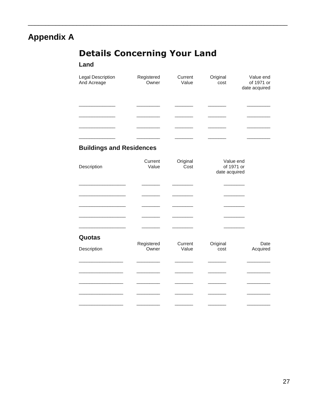# **Appendix A**

# **Details Concerning Your Land**

#### Land

| <b>Legal Description</b><br>And Acreage | Registered<br>Owner | Current<br>Value | Original<br>cost | Value end<br>of 1971 or<br>date acquired |
|-----------------------------------------|---------------------|------------------|------------------|------------------------------------------|
|                                         |                     |                  |                  |                                          |
|                                         |                     |                  |                  |                                          |
|                                         |                     |                  |                  |                                          |
|                                         |                     |                  |                  |                                          |

#### **Buildings and Residences**

| Description | Current<br>Value    | Original<br>Cost | Value end<br>of 1971 or<br>date acquired |                  |
|-------------|---------------------|------------------|------------------------------------------|------------------|
|             |                     |                  |                                          |                  |
|             |                     |                  |                                          |                  |
|             |                     |                  |                                          |                  |
| Quotas      |                     |                  |                                          |                  |
| Description | Registered<br>Owner | Current<br>Value | Original<br>cost                         | Date<br>Acquired |
|             |                     |                  |                                          |                  |
|             |                     |                  |                                          |                  |
|             |                     |                  |                                          |                  |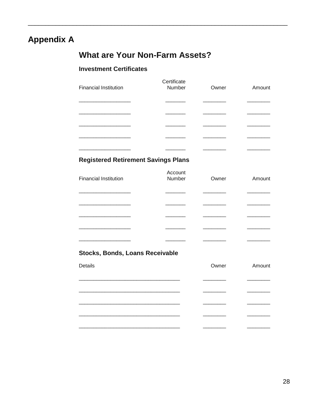### **Appendix A**

### **What are Your Non-Farm Assets?**

#### **Investment Certificates**

| <b>Financial Institution</b> | Certificate<br>Number | Owner | Amount |
|------------------------------|-----------------------|-------|--------|
|                              |                       |       |        |
|                              |                       |       |        |
|                              |                       |       |        |
|                              |                       |       |        |
|                              |                       |       |        |

#### **Registered Retirement Savings Plans**

| <b>Financial Institution</b> | Account<br>Number | Owner | Amount |
|------------------------------|-------------------|-------|--------|
|                              |                   |       |        |
|                              |                   |       |        |
|                              |                   |       |        |
|                              |                   |       |        |

#### Stocks, Bonds, Loans Receivable

| Details | Owner | Amount |
|---------|-------|--------|
|         |       |        |
|         |       |        |
|         |       |        |
|         |       |        |
|         |       |        |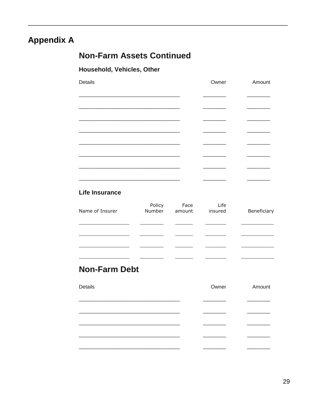## **Appendix A**

### **Non-Farm Assets Continued**

#### Household, Vehicles, Other

| Details | Owner | Amount |
|---------|-------|--------|
|         |       |        |
|         |       |        |
|         |       |        |
|         |       |        |
|         |       |        |
|         |       |        |
|         |       |        |
|         |       |        |
|         |       |        |

#### **Life Insurance**

| Name of Insurer | Policy<br>Number | Face<br>amount | Life<br>insured | Beneficiary |
|-----------------|------------------|----------------|-----------------|-------------|
|                 |                  |                |                 |             |
|                 |                  |                |                 |             |
|                 |                  |                |                 |             |
|                 |                  |                |                 |             |

### **Non-Farm Debt**

| Details | Owner | Amount |
|---------|-------|--------|
|         |       |        |
|         |       |        |
|         |       |        |
|         |       |        |
|         |       |        |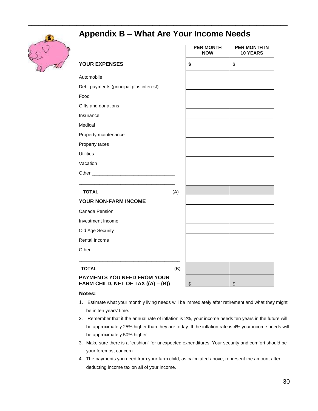

### <span id="page-37-0"></span>**Appendix B – What Are Your Income Needs**

\_\_\_\_\_\_\_\_\_\_\_\_\_\_\_\_\_\_\_\_\_\_\_\_\_\_\_\_\_\_\_\_\_\_\_\_\_\_\_\_\_\_\_\_\_\_\_\_\_\_\_\_\_\_\_\_\_\_\_\_\_\_\_\_\_\_\_\_\_\_\_\_\_\_\_

|                                                                          |     | <b>PER MONTH</b><br><b>NOW</b> | <b>PER MONTH IN</b><br><b>10 YEARS</b> |
|--------------------------------------------------------------------------|-----|--------------------------------|----------------------------------------|
| <b>YOUR EXPENSES</b>                                                     |     | \$                             | \$                                     |
| Automobile                                                               |     |                                |                                        |
| Debt payments (principal plus interest)                                  |     |                                |                                        |
| Food                                                                     |     |                                |                                        |
| Gifts and donations                                                      |     |                                |                                        |
| Insurance                                                                |     |                                |                                        |
| Medical                                                                  |     |                                |                                        |
| Property maintenance                                                     |     |                                |                                        |
| Property taxes                                                           |     |                                |                                        |
| <b>Utilities</b>                                                         |     |                                |                                        |
| Vacation                                                                 |     |                                |                                        |
|                                                                          |     |                                |                                        |
|                                                                          |     |                                |                                        |
| <b>TOTAL</b>                                                             | (A) |                                |                                        |
| YOUR NON-FARM INCOME                                                     |     |                                |                                        |
| Canada Pension                                                           |     |                                |                                        |
| Investment Income                                                        |     |                                |                                        |
| Old Age Security                                                         |     |                                |                                        |
| Rental Income                                                            |     |                                |                                        |
|                                                                          |     |                                |                                        |
|                                                                          |     |                                |                                        |
| <b>TOTAL</b>                                                             | (B) |                                |                                        |
| <b>PAYMENTS YOU NEED FROM YOUR</b><br>FARM CHILD, NET OF TAX ((A) - (B)) |     | \$                             | $\sqrt[6]{\frac{1}{2}}$                |

#### **Notes:**

- 1. Estimate what your monthly living needs will be immediately after retirement and what they might be in ten years' time.
- 2. Remember that if the annual rate of inflation is 2%, your income needs ten years in the future will be approximately 25% higher than they are today. If the inflation rate is 4% your income needs will be approximately 50% higher.
- 3. Make sure there is a "cushion" for unexpected expenditures. Your security and comfort should be your foremost concern.
- 4. The payments you need from your farm child, as calculated above, represent the amount after deducting income tax on all of your income.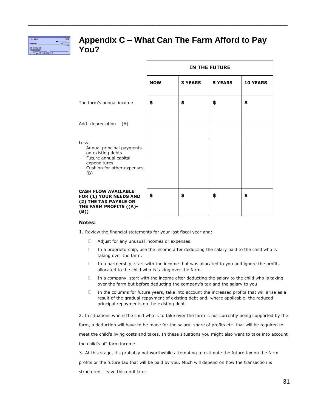

#### <span id="page-38-0"></span>**Appendix C – What Can The Farm Afford to Pay You?**

\_\_\_\_\_\_\_\_\_\_\_\_\_\_\_\_\_\_\_\_\_\_\_\_\_\_\_\_\_\_\_\_\_\_\_\_\_\_\_\_\_\_\_\_\_\_\_\_\_\_\_\_\_\_\_\_\_\_\_\_\_\_\_\_\_\_\_\_\_\_\_\_\_\_\_

|                                                                                                                                             | <b>IN THE FUTURE</b> |                |                |                 |  |
|---------------------------------------------------------------------------------------------------------------------------------------------|----------------------|----------------|----------------|-----------------|--|
|                                                                                                                                             | <b>NOW</b>           | <b>3 YEARS</b> | <b>5 YEARS</b> | <b>10 YEARS</b> |  |
| The farm's annual income                                                                                                                    | \$                   | \$             | \$             | \$              |  |
| Add: depreciation<br>(A)                                                                                                                    |                      |                |                |                 |  |
| Less:<br>- Annual principal payments<br>on existing debts<br>- Future annual capital<br>expenditures<br>- Cushion for other expenses<br>(B) |                      |                |                |                 |  |
| <b>CASH FLOW AVAILABLE</b><br>FOR (1) YOUR NEEDS AND<br>(2) THE TAX PAYBLE ON<br>THE FARM PROFITS ((A)-<br>(B))                             | \$                   | \$             | \$             | \$              |  |

#### **Notes:**

1. Review the financial statements for your last fiscal year and:

- **E** Adjust for any unusual incomes or expenses.
- $\Box$  In a proprietorship, use the income after deducting the salary paid to the child who is taking over the farm.
- $\Box$  In a partnership, start with the income that was allocated to you and ignore the profits allocated to the child who is taking over the farm.
- $\Box$  In a company, start with the income after deducting the salary to the child who is taking over the farm but before deducting the company's tax and the salary to you.
- $\Box$  In the columns for future years, take into account the increased profits that will arise as a result of the gradual repayment of existing debt and, where applicable, the reduced principal repayments on the existing debt.

2. In situations where the child who is to take over the farm is not currently being supported by the farm, a deduction will have to be made for the salary, share of profits etc. that will be required to meet the child's living costs and taxes. In these situations you might also want to take into account the child's off-farm income.

3. At this stage, it's probably not worthwhile attempting to estimate the future tax on the farm profits or the future tax that will be paid by you. Much will depend on how the transaction is structured. Leave this until later.